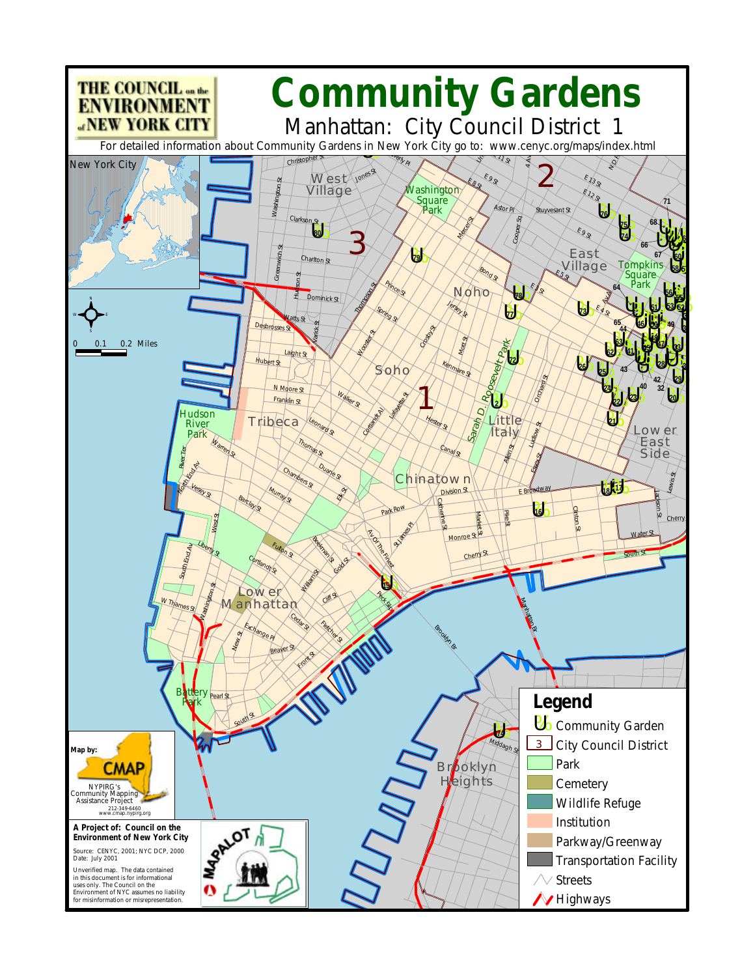